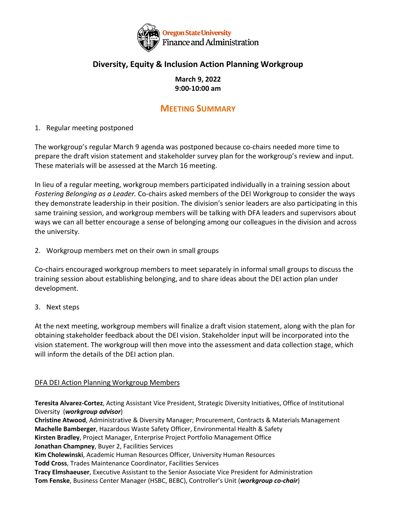

## **Diversity, Equity & Inclusion Action Planning Workgroup**

## **March 9, 2022 9:00-10:00 am**

## **MEETING SUMMARY**

1. Regular meeting postponed

The workgroup's regular March 9 agenda was postponed because co-chairs needed more time to prepare the draft vision statement and stakeholder survey plan for the workgroup's review and input. These materials will be assessed at the March 16 meeting.

In lieu of a regular meeting, workgroup members participated individually in a training session about *Fostering Belonging as a Leader.* Co-chairs asked members of the DEI Workgroup to consider the ways they demonstrate leadership in their position. The division's senior leaders are also participating in this same training session, and workgroup members will be talking with DFA leaders and supervisors about ways we can all better encourage a sense of belonging among our colleagues in the division and across the university.

2. Workgroup members met on their own in small groups

Co-chairs encouraged workgroup members to meet separately in informal small groups to discuss the training session about establishing belonging, and to share ideas about the DEI action plan under development.

3. Next steps

At the next meeting, workgroup members will finalize a draft vision statement, along with the plan for obtaining stakeholder feedback about the DEI vision. Stakeholder input will be incorporated into the vision statement. The workgroup will then move into the assessment and data collection stage, which will inform the details of the DEI action plan.

## DFA DEI Action Planning Workgroup Members

**Teresita Alvarez-Cortez**, Acting Assistant Vice President, Strategic Diversity Initiatives, Office of Institutional Diversity (*workgroup advisor*)

**Christine Atwood**, Administrative & Diversity Manager; Procurement, Contracts & Materials Management **Machelle Bamberger**, Hazardous Waste Safety Officer, Environmental Health & Safety **Kirsten Bradley**, Project Manager, Enterprise Project Portfolio Management Office **Jonathan Champney**, Buyer 2, Facilities Services **Kim Cholewinski**, Academic Human Resources Officer, University Human Resources **Todd Cross**, Trades Maintenance Coordinator, Facilities Services **Tracy Elmshaeuser**, Executive Assistant to the Senior Associate Vice President for Administration **Tom Fenske**, Business Center Manager (HSBC, BEBC), Controller's Unit (*workgroup co-chair*)